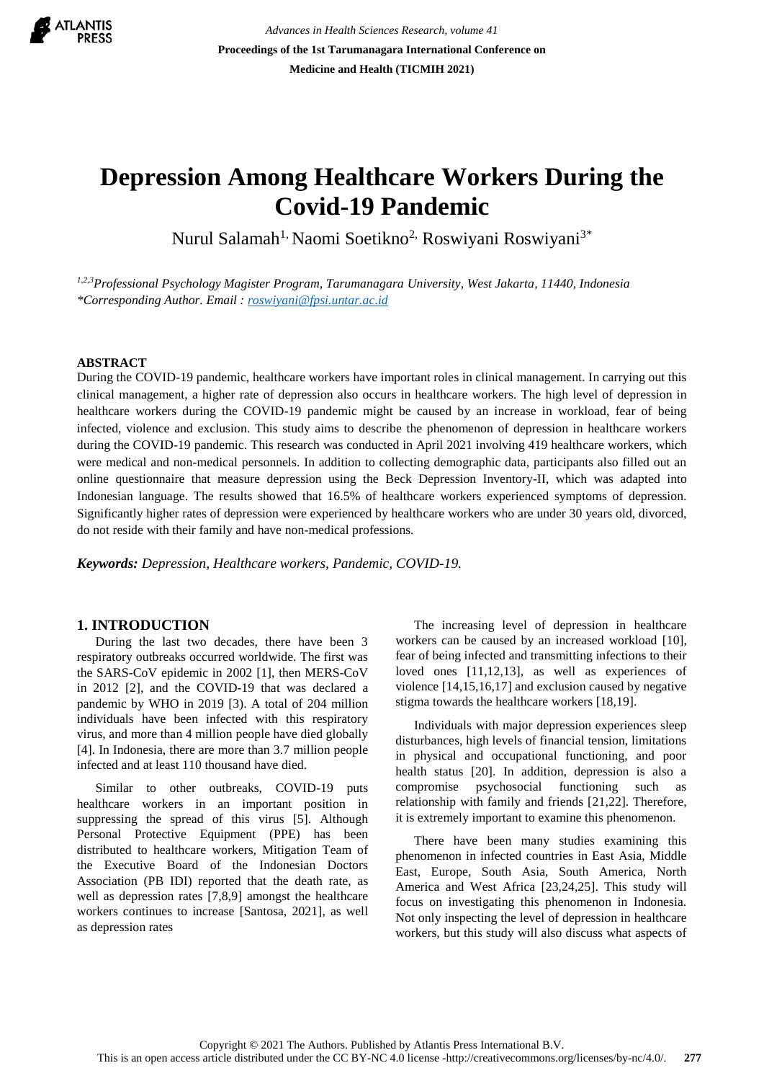

*Advances in Health Sciences Research, volume 41* **Proceedings of the 1st Tarumanagara International Conference on Medicine and Health (TICMIH 2021)**

# **Depression Among Healthcare Workers During the Covid-19 Pandemic**

Nurul Salamah<sup>1,</sup> Naomi Soetikno<sup>2,</sup> Roswiyani Roswiyani<sup>3\*</sup>

*1,2,3Professional Psychology Magister Program, Tarumanagara University, West Jakarta, 11440, Indonesia \*Corresponding Author. Email : [roswiyani@fpsi.untar.ac.id](mailto:roswiyani@fpsi.untar.ac.id)*

#### **ABSTRACT**

During the COVID-19 pandemic, healthcare workers have important roles in clinical management. In carrying out this clinical management, a higher rate of depression also occurs in healthcare workers. The high level of depression in healthcare workers during the COVID-19 pandemic might be caused by an increase in workload, fear of being infected, violence and exclusion. This study aims to describe the phenomenon of depression in healthcare workers during the COVID-19 pandemic. This research was conducted in April 2021 involving 419 healthcare workers, which were medical and non-medical personnels. In addition to collecting demographic data, participants also filled out an online questionnaire that measure depression using the Beck Depression Inventory-II, which was adapted into Indonesian language. The results showed that 16.5% of healthcare workers experienced symptoms of depression. Significantly higher rates of depression were experienced by healthcare workers who are under 30 years old, divorced, do not reside with their family and have non-medical professions.

*Keywords: Depression, Healthcare workers, Pandemic, COVID-19.*

## **1. INTRODUCTION**

During the last two decades, there have been 3 respiratory outbreaks occurred worldwide. The first was the SARS-CoV epidemic in 2002 [1], then MERS-CoV in 2012 [2], and the COVID-19 that was declared a pandemic by WHO in 2019 [3). A total of 204 million individuals have been infected with this respiratory virus, and more than 4 million people have died globally [4]. In Indonesia, there are more than 3.7 million people infected and at least 110 thousand have died.

Similar to other outbreaks, COVID-19 puts healthcare workers in an important position in suppressing the spread of this virus [5]. Although Personal Protective Equipment (PPE) has been distributed to healthcare workers, Mitigation Team of the Executive Board of the Indonesian Doctors Association (PB IDI) reported that the death rate, as well as depression rates [7,8,9] amongst the healthcare workers continues to increase [Santosa, 2021], as well as depression rates

The increasing level of depression in healthcare workers can be caused by an increased workload [10], fear of being infected and transmitting infections to their loved ones [11,12,13], as well as experiences of violence [14,15,16,17] and exclusion caused by negative stigma towards the healthcare workers [18,19].

Individuals with major depression experiences sleep disturbances, high levels of financial tension, limitations in physical and occupational functioning, and poor health status [20]. In addition, depression is also a compromise psychosocial functioning such as relationship with family and friends [21,22]. Therefore, it is extremely important to examine this phenomenon.

There have been many studies examining this phenomenon in infected countries in East Asia, Middle East, Europe, South Asia, South America, North America and West Africa [23,24,25]. This study will focus on investigating this phenomenon in Indonesia. Not only inspecting the level of depression in healthcare workers, but this study will also discuss what aspects of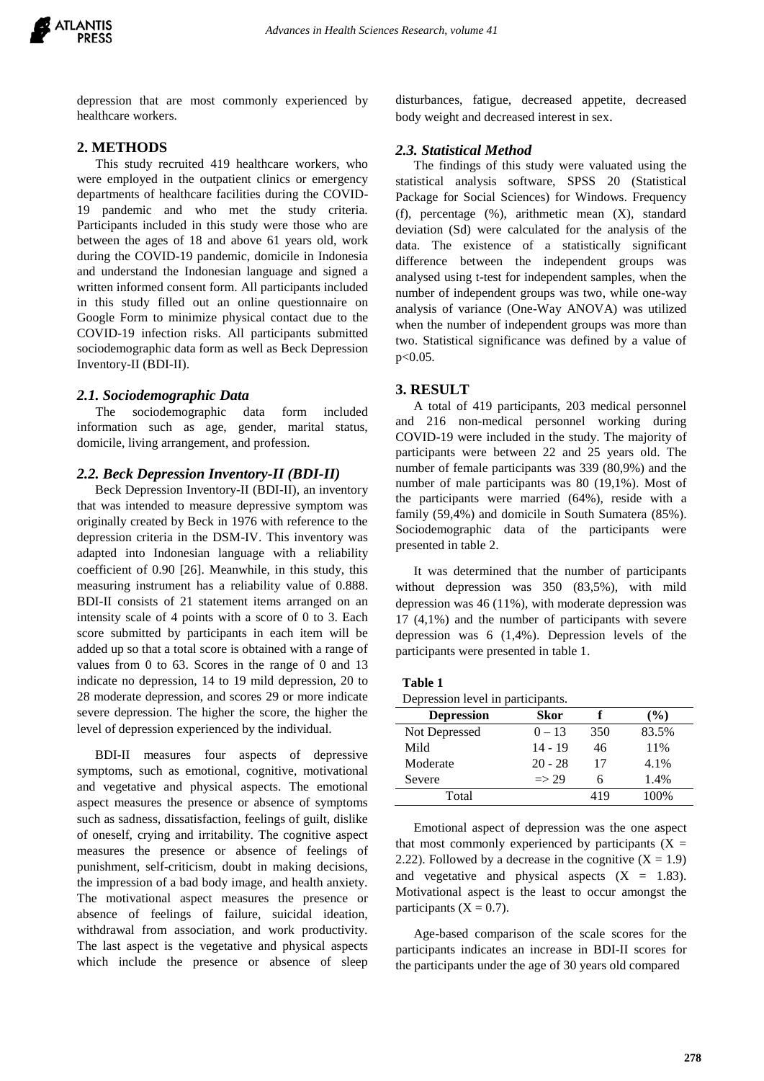

depression that are most commonly experienced by healthcare workers.

# **2. METHODS**

This study recruited 419 healthcare workers, who were employed in the outpatient clinics or emergency departments of healthcare facilities during the COVID-19 pandemic and who met the study criteria. Participants included in this study were those who are between the ages of 18 and above 61 years old, work during the COVID-19 pandemic, domicile in Indonesia and understand the Indonesian language and signed a written informed consent form. All participants included in this study filled out an online questionnaire on Google Form to minimize physical contact due to the COVID-19 infection risks. All participants submitted sociodemographic data form as well as Beck Depression Inventory-II (BDI-II).

#### *2.1. Sociodemographic Data*

The sociodemographic data form included information such as age, gender, marital status, domicile, living arrangement, and profession.

#### *2.2. Beck Depression Inventory-II (BDI-II)*

Beck Depression Inventory-II (BDI-II), an inventory that was intended to measure depressive symptom was originally created by Beck in 1976 with reference to the depression criteria in the DSM-IV. This inventory was adapted into Indonesian language with a reliability coefficient of 0.90 [26]. Meanwhile, in this study, this measuring instrument has a reliability value of 0.888. BDI-II consists of 21 statement items arranged on an intensity scale of 4 points with a score of 0 to 3. Each score submitted by participants in each item will be added up so that a total score is obtained with a range of values from 0 to 63. Scores in the range of 0 and 13 indicate no depression, 14 to 19 mild depression, 20 to 28 moderate depression, and scores 29 or more indicate severe depression. The higher the score, the higher the level of depression experienced by the individual.

BDI-II measures four aspects of depressive symptoms, such as emotional, cognitive, motivational and vegetative and physical aspects. The emotional aspect measures the presence or absence of symptoms such as sadness, dissatisfaction, feelings of guilt, dislike of oneself, crying and irritability. The cognitive aspect measures the presence or absence of feelings of punishment, self-criticism, doubt in making decisions, the impression of a bad body image, and health anxiety. The motivational aspect measures the presence or absence of feelings of failure, suicidal ideation, withdrawal from association, and work productivity. The last aspect is the vegetative and physical aspects which include the presence or absence of sleep disturbances, fatigue, decreased appetite, decreased body weight and decreased interest in sex.

#### *2.3. Statistical Method*

The findings of this study were valuated using the statistical analysis software, SPSS 20 (Statistical Package for Social Sciences) for Windows. Frequency (f), percentage (%), arithmetic mean (X), standard deviation (Sd) were calculated for the analysis of the data. The existence of a statistically significant difference between the independent groups was analysed using t-test for independent samples, when the number of independent groups was two, while one-way analysis of variance (One-Way ANOVA) was utilized when the number of independent groups was more than two. Statistical significance was defined by a value of p<0.05.

#### **3. RESULT**

A total of 419 participants, 203 medical personnel and 216 non-medical personnel working during COVID-19 were included in the study. The majority of participants were between 22 and 25 years old. The number of female participants was 339 (80,9%) and the number of male participants was 80 (19,1%). Most of the participants were married (64%), reside with a family (59,4%) and domicile in South Sumatera (85%). Sociodemographic data of the participants were presented in table 2.

It was determined that the number of participants without depression was 350 (83,5%), with mild depression was 46 (11%), with moderate depression was 17 (4,1%) and the number of participants with severe depression was 6 (1,4%). Depression levels of the participants were presented in table 1.

| Table |  |
|-------|--|
|-------|--|

| <b>Skor</b>      |     | $\frac{6}{6}$ |
|------------------|-----|---------------|
| $0 - 13$         | 350 | 83.5%         |
| $14 - 19$        | 46  | 11%           |
| $20 - 28$        | 17  | 4.1%          |
| $\Rightarrow$ 29 |     | 1.4%          |
|                  | 419 | 100%          |
|                  |     |               |

Emotional aspect of depression was the one aspect that most commonly experienced by participants  $(X =$ 2.22). Followed by a decrease in the cognitive  $(X = 1.9)$ and vegetative and physical aspects  $(X = 1.83)$ . Motivational aspect is the least to occur amongst the participants  $(X = 0.7)$ .

Age-based comparison of the scale scores for the participants indicates an increase in BDI-II scores for the participants under the age of 30 years old compared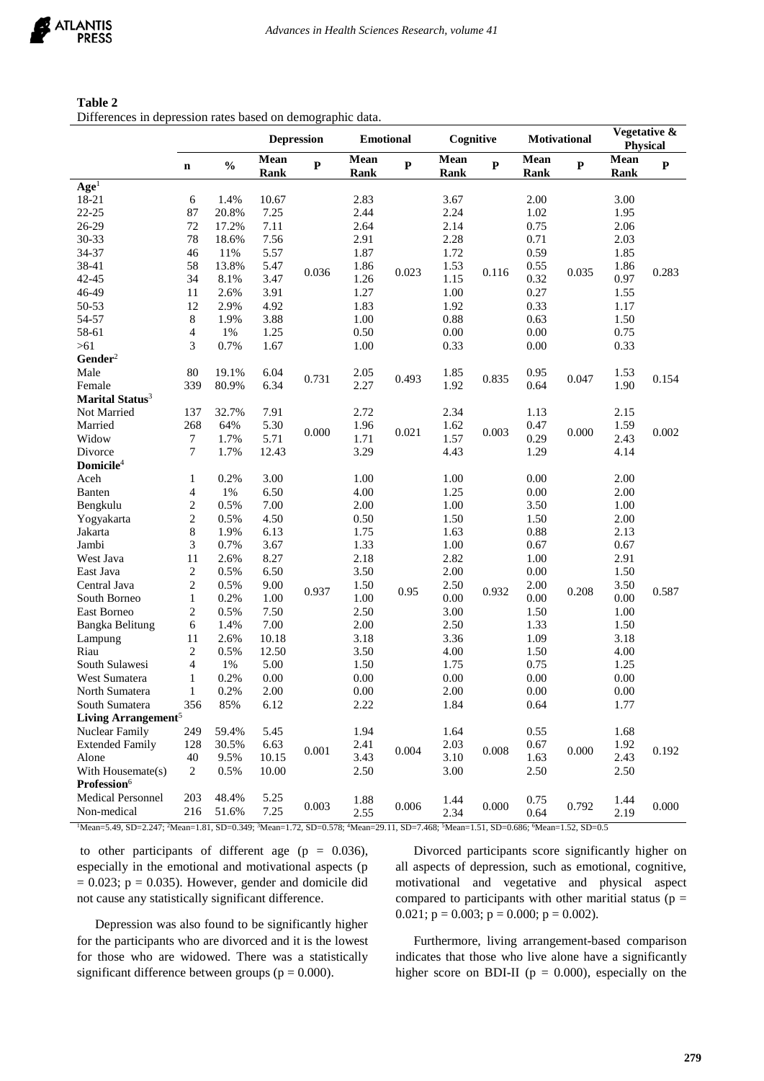| Table 2 |                                                            |  |
|---------|------------------------------------------------------------|--|
|         | Differences in depression rates based on demographic data. |  |

|                                                                                                                                                                                               |                  |               | <b>Depression</b><br><b>Emotional</b> |           |                     | Cognitive |                      | <b>Motivational</b> |              | Vegetative &<br><b>Physical</b> |              |              |
|-----------------------------------------------------------------------------------------------------------------------------------------------------------------------------------------------|------------------|---------------|---------------------------------------|-----------|---------------------|-----------|----------------------|---------------------|--------------|---------------------------------|--------------|--------------|
|                                                                                                                                                                                               | $\mathbf n$      | $\frac{0}{0}$ | Mean<br>Rank                          | ${\bf P}$ | Mean<br><b>Rank</b> | ${\bf P}$ | Mean<br>Rank         | $\mathbf P$         | Mean<br>Rank | ${\bf P}$                       | Mean<br>Rank | $\mathbf{P}$ |
| Age <sup>1</sup>                                                                                                                                                                              |                  |               |                                       |           |                     |           |                      |                     |              |                                 |              |              |
| 18-21                                                                                                                                                                                         | 6                | 1.4%          | 10.67                                 |           | 2.83                |           | 3.67                 |                     | 2.00         |                                 | 3.00         |              |
| $22 - 25$                                                                                                                                                                                     | 87               | 20.8%         | 7.25                                  |           | 2.44                |           | 2.24                 |                     | 1.02         |                                 | 1.95         |              |
| 26-29                                                                                                                                                                                         | 72               | 17.2%         | 7.11                                  |           | 2.64                |           | 2.14                 |                     | 0.75         |                                 | 2.06         |              |
| 30-33                                                                                                                                                                                         | 78               | 18.6%         | 7.56                                  |           | 2.91                |           | 2.28                 |                     | 0.71         |                                 | 2.03         |              |
| 34-37                                                                                                                                                                                         | 46               | 11%           | 5.57                                  |           | 1.87                |           | 1.72                 |                     | 0.59         |                                 | 1.85         |              |
| 38-41                                                                                                                                                                                         | 58               | 13.8%         | 5.47                                  |           | 1.86                |           | 1.53                 |                     | 0.55         |                                 | 1.86         |              |
| $42 - 45$                                                                                                                                                                                     | 34               | 8.1%          | 3.47                                  | 0.036     | 1.26                | 0.023     | 1.15                 | 0.116               | 0.32         | 0.035                           | 0.97         | 0.283        |
| 46-49                                                                                                                                                                                         | 11               | 2.6%          | 3.91                                  |           | 1.27                |           | 1.00                 |                     | 0.27         |                                 | 1.55         |              |
| 50-53                                                                                                                                                                                         | 12               | 2.9%          | 4.92                                  |           | 1.83                |           | 1.92                 |                     | 0.33         |                                 | 1.17         |              |
| 54-57                                                                                                                                                                                         | $\,8\,$          | 1.9%          | 3.88                                  |           | 1.00                |           | 0.88                 |                     | 0.63         |                                 | 1.50         |              |
| 58-61                                                                                                                                                                                         | 4                | $1\%$         | 1.25                                  |           | 0.50                |           | 0.00                 |                     | 0.00         |                                 | 0.75         |              |
| $>61$                                                                                                                                                                                         | 3                | 0.7%          | 1.67                                  |           | 1.00                |           | 0.33                 |                     | 0.00         |                                 | 0.33         |              |
| Gender <sup>2</sup>                                                                                                                                                                           |                  |               |                                       |           |                     |           |                      |                     |              |                                 |              |              |
| Male                                                                                                                                                                                          | 80               | 19.1%         | 6.04                                  |           | 2.05                |           | 1.85                 |                     | 0.95         |                                 | 1.53         |              |
| Female                                                                                                                                                                                        | 339              | 80.9%         | 6.34                                  | 0.731     | 2.27                | 0.493     | 1.92                 | 0.835               | 0.64         | 0.047                           | 1.90         | 0.154        |
| Marital Status <sup>3</sup>                                                                                                                                                                   |                  |               |                                       |           |                     |           |                      |                     |              |                                 |              |              |
| Not Married                                                                                                                                                                                   | 137              | 32.7%         | 7.91                                  |           | 2.72                |           | 2.34                 |                     | 1.13         |                                 | 2.15         |              |
| Married                                                                                                                                                                                       | 268              | 64%           | 5.30                                  |           | 1.96                |           | 1.62                 |                     | 0.47         |                                 | 1.59         |              |
| Widow                                                                                                                                                                                         | $\boldsymbol{7}$ | 1.7%          | 5.71                                  | 0.000     | 1.71                | 0.021     | 1.57                 | 0.003               | 0.29         | 0.000                           | 2.43         | 0.002        |
| Divorce                                                                                                                                                                                       | 7                | 1.7%          | 12.43                                 |           | 3.29                |           | 4.43                 |                     | 1.29         |                                 | 4.14         |              |
| Domicile <sup>4</sup>                                                                                                                                                                         |                  |               |                                       |           |                     |           |                      |                     |              |                                 |              |              |
| Aceh                                                                                                                                                                                          | $\mathbf{1}$     | 0.2%          | 3.00                                  |           | 1.00                |           | 1.00                 |                     | 0.00         |                                 | 2.00         | 0.587        |
| Banten                                                                                                                                                                                        | 4                | 1%            | 6.50                                  |           | 4.00                |           | 1.25<br>1.00<br>1.50 |                     | 0.00         |                                 | 2.00         |              |
| Bengkulu                                                                                                                                                                                      | $\overline{c}$   | 0.5%          | 7.00                                  |           | 2.00                |           |                      |                     | 3.50         |                                 | 1.00         |              |
| Yogyakarta                                                                                                                                                                                    | $\overline{c}$   | 0.5%          | 4.50                                  |           | 0.50                |           |                      |                     | 1.50         |                                 | 2.00         |              |
| Jakarta                                                                                                                                                                                       | $\,8\,$          | 1.9%          | 6.13                                  |           | 1.75                |           | 1.63                 |                     | 0.88         |                                 | 2.13         |              |
| Jambi                                                                                                                                                                                         | 3                | 0.7%          | 3.67                                  |           | 1.33                |           | 1.00                 |                     | 0.67         |                                 | 0.67         |              |
| West Java                                                                                                                                                                                     | 11               | 2.6%          | 8.27                                  |           | 2.18                |           | 2.82<br>2.00         |                     | 1.00         |                                 | 2.91         |              |
| East Java                                                                                                                                                                                     | $\mathbf{2}$     | 0.5%          | 6.50                                  |           | 3.50                |           |                      |                     | 0.00         | 0.208                           | 1.50         |              |
| Central Java                                                                                                                                                                                  | 2                | 0.5%          | 9.00                                  |           | 1.50                |           | 2.50                 | 0.932               | 2.00         |                                 | 3.50         |              |
| South Borneo                                                                                                                                                                                  | 1                | 0.2%          | 1.00                                  | 0.937     | 1.00                | 0.95      | 0.00                 |                     | 0.00         |                                 | $0.00\,$     |              |
| East Borneo                                                                                                                                                                                   | $\overline{c}$   | 0.5%          | 7.50                                  |           | 2.50                |           | 3.00                 |                     | 1.50         |                                 | 1.00         |              |
| Bangka Belitung                                                                                                                                                                               | 6                | 1.4%          | 7.00                                  |           | 2.00                |           | 2.50                 |                     | 1.33         |                                 | 1.50         |              |
| Lampung                                                                                                                                                                                       | 11               | 2.6%          | 10.18                                 |           | 3.18                |           | 3.36                 |                     | 1.09         |                                 | 3.18         |              |
| Riau                                                                                                                                                                                          | $\sqrt{2}$       | 0.5%          | 12.50                                 |           | 3.50                |           | 4.00                 |                     | 1.50         |                                 | 4.00         |              |
| South Sulawesi                                                                                                                                                                                | $\overline{4}$   | 1%            | 5.00                                  |           | 1.50                |           | 1.75                 |                     | 0.75         |                                 | 1.25         |              |
| West Sumatera                                                                                                                                                                                 | 1                | 0.2%          | 0.00                                  |           | 0.00                |           | 0.00                 |                     | 0.00         |                                 | 0.00         |              |
| North Sumatera                                                                                                                                                                                | 1                | 0.2%          | 2.00                                  |           | 0.00                |           | 2.00                 |                     | 0.00         |                                 | 0.00         |              |
| South Sumatera                                                                                                                                                                                | 356              | 85%           | 6.12                                  |           | 2.22                |           | 1.84                 |                     | 0.64         |                                 | 1.77         |              |
| Living Arrangement <sup>5</sup>                                                                                                                                                               |                  |               |                                       |           |                     |           |                      |                     |              |                                 |              |              |
| Nuclear Family                                                                                                                                                                                | 249              | 59.4%         | 5.45                                  |           | 1.94                |           | 1.64                 |                     | 0.55         |                                 | 1.68         |              |
| <b>Extended Family</b>                                                                                                                                                                        |                  |               | 6.63                                  |           | 2.41                |           | 2.03                 |                     | 0.67         |                                 | 1.92         |              |
| Alone                                                                                                                                                                                         | 128<br>40        | 30.5%<br>9.5% | 10.15                                 | $0.001\,$ | 3.43                | 0.004     | 3.10                 | 0.008               | 1.63         | 0.000                           | 2.43         | 0.192        |
| With Housemate(s)                                                                                                                                                                             | 2                | 0.5%          |                                       |           | 2.50                |           |                      |                     | 2.50         |                                 | 2.50         |              |
| Profession <sup>6</sup>                                                                                                                                                                       |                  |               | 10.00                                 |           |                     |           | 3.00                 |                     |              |                                 |              |              |
|                                                                                                                                                                                               |                  | 48.4%         |                                       |           |                     |           |                      |                     |              |                                 |              |              |
| Medical Personnel                                                                                                                                                                             | 203              |               | 5.25                                  | 0.003     | 1.88                | 0.006     | 1.44                 | 0.000               | 0.75         | 0.792                           | 1.44         | 0.000        |
| Non-medical                                                                                                                                                                                   | 216              | 51.6%         | 7.25                                  |           | 2.55                |           | 2.34                 |                     | 0.64         |                                 | 2.19         |              |
| 1Mean=5.49, SD=2.247; <sup>2</sup> Mean=1.81, SD=0.349; <sup>3</sup> Mean=1.72, SD=0.578; <sup>4</sup> Mean=29.11, SD=7.468; <sup>5</sup> Mean=1.51, SD=0.686; <sup>6</sup> Mean=1.52, SD=0.5 |                  |               |                                       |           |                     |           |                      |                     |              |                                 |              |              |

to other participants of different age  $(p = 0.036)$ , especially in the emotional and motivational aspects (p  $= 0.023$ ;  $p = 0.035$ ). However, gender and domicile did not cause any statistically significant difference.

Depression was also found to be significantly higher for the participants who are divorced and it is the lowest for those who are widowed. There was a statistically significant difference between groups ( $p = 0.000$ ).

Divorced participants score significantly higher on all aspects of depression, such as emotional, cognitive, motivational and vegetative and physical aspect compared to participants with other maritial status ( $p =$ 0.021;  $p = 0.003$ ;  $p = 0.000$ ;  $p = 0.002$ ).

Furthermore, living arrangement-based comparison indicates that those who live alone have a significantly higher score on BDI-II ( $p = 0.000$ ), especially on the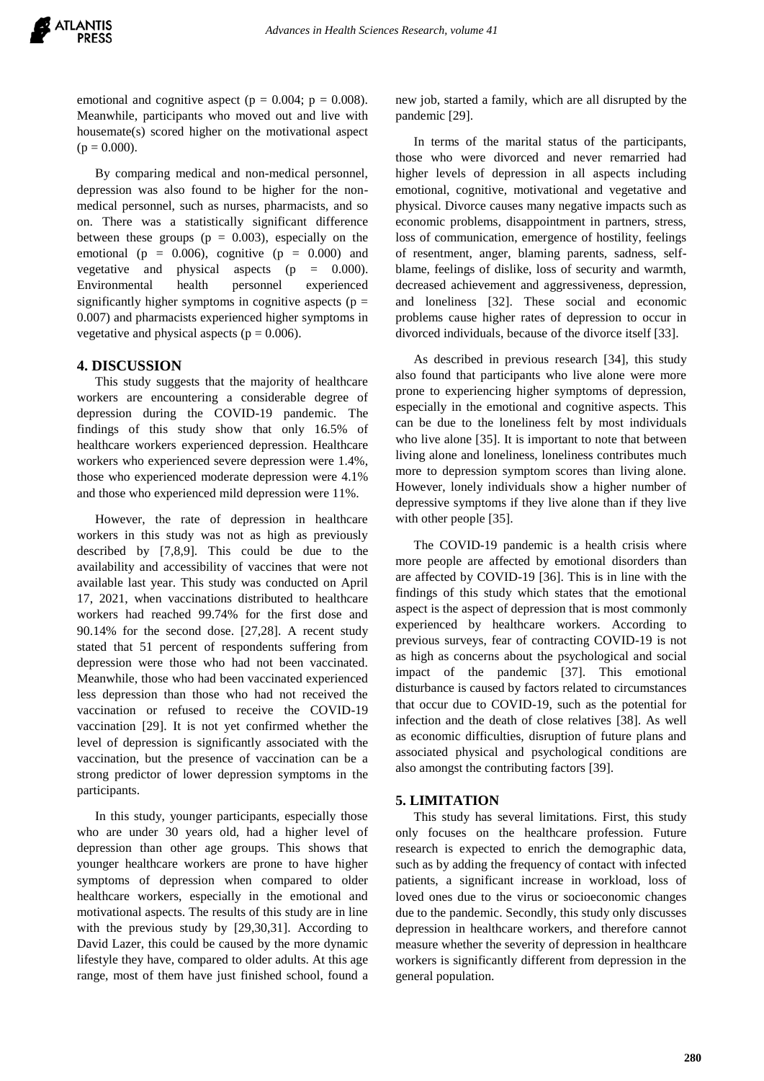emotional and cognitive aspect ( $p = 0.004$ ;  $p = 0.008$ ). Meanwhile, participants who moved out and live with housemate(s) scored higher on the motivational aspect  $(p = 0.000)$ .

By comparing medical and non-medical personnel, depression was also found to be higher for the nonmedical personnel, such as nurses, pharmacists, and so on. There was a statistically significant difference between these groups ( $p = 0.003$ ), especially on the emotional ( $p = 0.006$ ), cognitive ( $p = 0.000$ ) and vegetative and physical aspects  $(p = 0.000)$ . Environmental health personnel experienced significantly higher symptoms in cognitive aspects ( $p =$ 0.007) and pharmacists experienced higher symptoms in vegetative and physical aspects ( $p = 0.006$ ).

## **4. DISCUSSION**

This study suggests that the majority of healthcare workers are encountering a considerable degree of depression during the COVID-19 pandemic. The findings of this study show that only 16.5% of healthcare workers experienced depression. Healthcare workers who experienced severe depression were 1.4%, those who experienced moderate depression were 4.1% and those who experienced mild depression were 11%.

However, the rate of depression in healthcare workers in this study was not as high as previously described by [7,8,9]. This could be due to the availability and accessibility of vaccines that were not available last year. This study was conducted on April 17, 2021, when vaccinations distributed to healthcare workers had reached 99.74% for the first dose and 90.14% for the second dose. [27,28]. A recent study stated that 51 percent of respondents suffering from depression were those who had not been vaccinated. Meanwhile, those who had been vaccinated experienced less depression than those who had not received the vaccination or refused to receive the COVID-19 vaccination [29]. It is not yet confirmed whether the level of depression is significantly associated with the vaccination, but the presence of vaccination can be a strong predictor of lower depression symptoms in the participants.

In this study, younger participants, especially those who are under 30 years old, had a higher level of depression than other age groups. This shows that younger healthcare workers are prone to have higher symptoms of depression when compared to older healthcare workers, especially in the emotional and motivational aspects. The results of this study are in line with the previous study by [29,30,31]. According to David Lazer, this could be caused by the more dynamic lifestyle they have, compared to older adults. At this age range, most of them have just finished school, found a new job, started a family, which are all disrupted by the pandemic [29].

In terms of the marital status of the participants, those who were divorced and never remarried had higher levels of depression in all aspects including emotional, cognitive, motivational and vegetative and physical. Divorce causes many negative impacts such as economic problems, disappointment in partners, stress, loss of communication, emergence of hostility, feelings of resentment, anger, blaming parents, sadness, selfblame, feelings of dislike, loss of security and warmth, decreased achievement and aggressiveness, depression, and loneliness [32]. These social and economic problems cause higher rates of depression to occur in divorced individuals, because of the divorce itself [33].

As described in previous research [34], this study also found that participants who live alone were more prone to experiencing higher symptoms of depression, especially in the emotional and cognitive aspects. This can be due to the loneliness felt by most individuals who live alone [35]. It is important to note that between living alone and loneliness, loneliness contributes much more to depression symptom scores than living alone. However, lonely individuals show a higher number of depressive symptoms if they live alone than if they live with other people [35].

The COVID-19 pandemic is a health crisis where more people are affected by emotional disorders than are affected by COVID-19 [36]. This is in line with the findings of this study which states that the emotional aspect is the aspect of depression that is most commonly experienced by healthcare workers. According to previous surveys, fear of contracting COVID-19 is not as high as concerns about the psychological and social impact of the pandemic [37]. This emotional disturbance is caused by factors related to circumstances that occur due to COVID-19, such as the potential for infection and the death of close relatives [38]. As well as economic difficulties, disruption of future plans and associated physical and psychological conditions are also amongst the contributing factors [39].

#### **5. LIMITATION**

This study has several limitations. First, this study only focuses on the healthcare profession. Future research is expected to enrich the demographic data, such as by adding the frequency of contact with infected patients, a significant increase in workload, loss of loved ones due to the virus or socioeconomic changes due to the pandemic. Secondly, this study only discusses depression in healthcare workers, and therefore cannot measure whether the severity of depression in healthcare workers is significantly different from depression in the general population.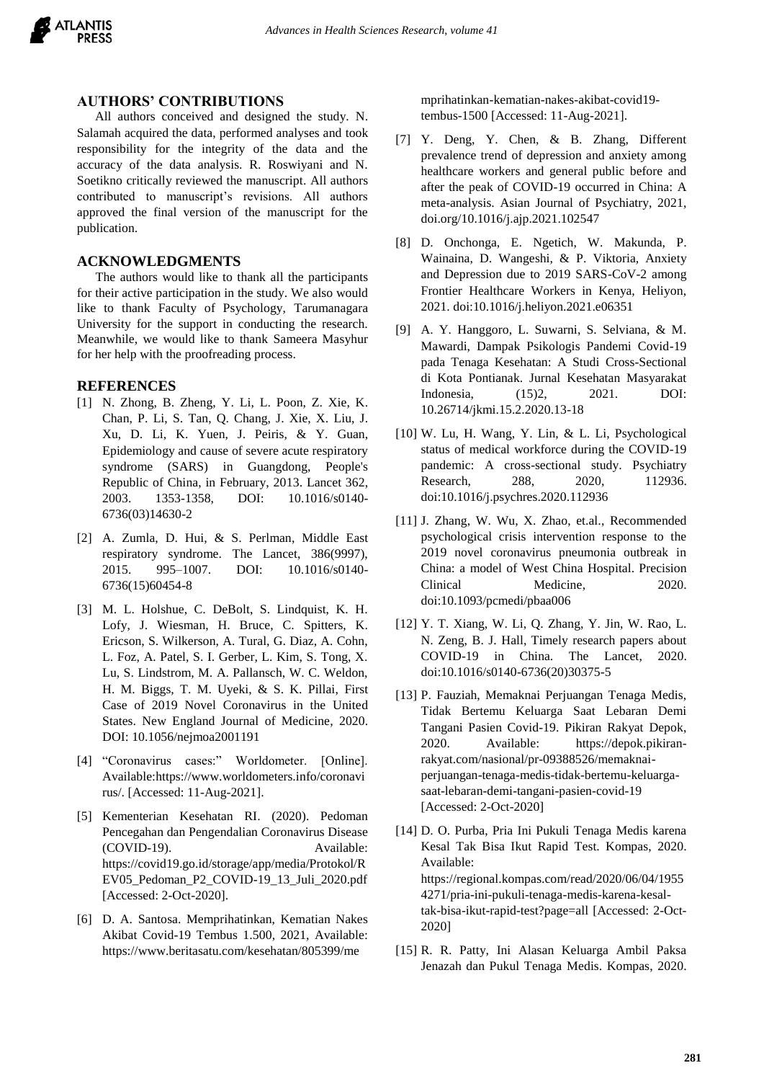

#### **AUTHORS' CONTRIBUTIONS**

All authors conceived and designed the study. N. Salamah acquired the data, performed analyses and took responsibility for the integrity of the data and the accuracy of the data analysis. R. Roswiyani and N. Soetikno critically reviewed the manuscript. All authors contributed to manuscript's revisions. All authors approved the final version of the manuscript for the publication.

# **ACKNOWLEDGMENTS**

The authors would like to thank all the participants for their active participation in the study. We also would like to thank Faculty of Psychology, Tarumanagara University for the support in conducting the research. Meanwhile, we would like to thank Sameera Masyhur for her help with the proofreading process.

# **REFERENCES**

- [1] N. Zhong, B. Zheng, Y. Li, L. Poon, Z. Xie, K. Chan, P. Li, S. Tan, Q. Chang, J. Xie, X. Liu, J. Xu, D. Li, K. Yuen, J. Peiris, & Y. Guan, Epidemiology and cause of severe acute respiratory syndrome (SARS) in Guangdong, People's Republic of China, in February, 2013. Lancet 362, 2003. 1353-1358, DOI: 10.1016/s0140- 6736(03)14630-2
- [2] A. Zumla, D. Hui, & S. Perlman, Middle East respiratory syndrome. The Lancet, 386(9997), 2015. 995–1007. DOI: 10.1016/s0140- 6736(15)60454-8
- [3] M. L. Holshue, C. DeBolt, S. Lindquist, K. H. Lofy, J. Wiesman, H. Bruce, C. Spitters, K. Ericson, S. Wilkerson, A. Tural, G. Diaz, A. Cohn, L. Foz, A. Patel, S. I. Gerber, L. Kim, S. Tong, X. Lu, S. Lindstrom, M. A. Pallansch, W. C. Weldon, H. M. Biggs, T. M. Uyeki, & S. K. Pillai, First Case of 2019 Novel Coronavirus in the United States. New England Journal of Medicine, 2020. DOI: 10.1056/nejmoa2001191
- [4] "Coronavirus cases:" Worldometer. [Online]. Available:https://www.worldometers.info/coronavi rus/. [Accessed: 11-Aug-2021].
- [5] Kementerian Kesehatan RI. (2020). Pedoman Pencegahan dan Pengendalian Coronavirus Disease (COVID-19). Available: https://covid19.go.id/storage/app/media/Protokol/R EV05\_Pedoman\_P2\_COVID-19\_13\_Juli\_2020.pdf [Accessed: 2-Oct-2020].
- [6] D. A. Santosa. Memprihatinkan, Kematian Nakes Akibat Covid-19 Tembus 1.500, 2021, Available: https://www.beritasatu.com/kesehatan/805399/me

mprihatinkan-kematian-nakes-akibat-covid19 tembus-1500 [Accessed: 11-Aug-2021].

- [7] Y. Deng, Y. Chen, & B. Zhang, Different prevalence trend of depression and anxiety among healthcare workers and general public before and after the peak of COVID-19 occurred in China: A meta-analysis. Asian Journal of Psychiatry, 2021, doi.org/10.1016/j.ajp.2021.102547
- [8] D. Onchonga, E. Ngetich, W. Makunda, P. Wainaina, D. Wangeshi, & P. Viktoria, Anxiety and Depression due to 2019 SARS-CoV-2 among Frontier Healthcare Workers in Kenya, Heliyon, 2021. doi:10.1016/j.heliyon.2021.e06351
- [9] A. Y. Hanggoro, L. Suwarni, S. Selviana, & M. Mawardi, Dampak Psikologis Pandemi Covid-19 pada Tenaga Kesehatan: A Studi Cross-Sectional di Kota Pontianak. Jurnal Kesehatan Masyarakat Indonesia, (15)2, 2021. DOI: 10.26714/jkmi.15.2.2020.13-18
- [10] W. Lu, H. Wang, Y. Lin, & L. Li, Psychological status of medical workforce during the COVID-19 pandemic: A cross-sectional study. Psychiatry Research, 288, 2020, 112936. doi:10.1016/j.psychres.2020.112936
- [11] J. Zhang, W. Wu, X. Zhao, et.al., Recommended psychological crisis intervention response to the 2019 novel coronavirus pneumonia outbreak in China: a model of West China Hospital. Precision Clinical Medicine, 2020. doi:10.1093/pcmedi/pbaa006
- [12] Y. T. Xiang, W. Li, Q. Zhang, Y. Jin, W. Rao, L. N. Zeng, B. J. Hall, Timely research papers about COVID-19 in China. The Lancet, 2020. doi:10.1016/s0140-6736(20)30375-5
- [13] P. Fauziah, Memaknai Perjuangan Tenaga Medis, Tidak Bertemu Keluarga Saat Lebaran Demi Tangani Pasien Covid-19. Pikiran Rakyat Depok, 2020. Available: https://depok.pikiranrakyat.com/nasional/pr-09388526/memaknaiperjuangan-tenaga-medis-tidak-bertemu-keluargasaat-lebaran-demi-tangani-pasien-covid-19 [Accessed: 2-Oct-2020]
- [14] D. O. Purba, Pria Ini Pukuli Tenaga Medis karena Kesal Tak Bisa Ikut Rapid Test. Kompas, 2020. Available: https://regional.kompas.com/read/2020/06/04/1955 4271/pria-ini-pukuli-tenaga-medis-karena-kesaltak-bisa-ikut-rapid-test?page=all [Accessed: 2-Oct-2020]
- [15] R. R. Patty, Ini Alasan Keluarga Ambil Paksa Jenazah dan Pukul Tenaga Medis. Kompas, 2020.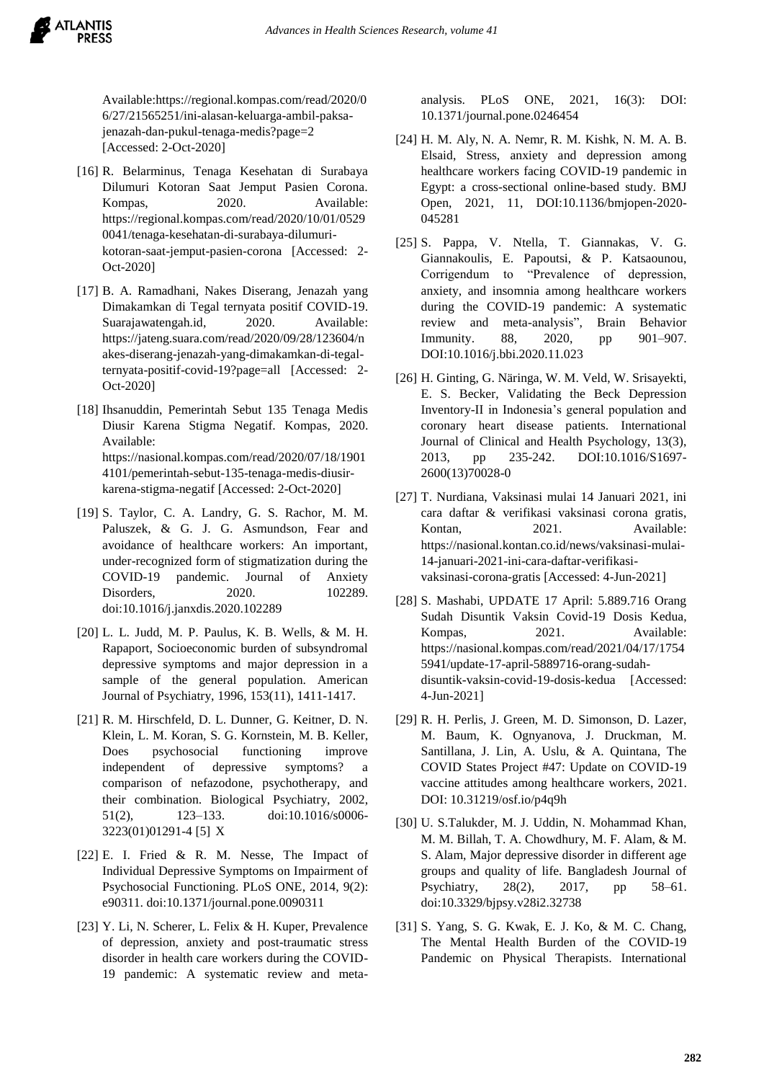

Available:https://regional.kompas.com/read/2020/0 6/27/21565251/ini-alasan-keluarga-ambil-paksajenazah-dan-pukul-tenaga-medis?page=2 [Accessed: 2-Oct-2020]

- [16] R. Belarminus, Tenaga Kesehatan di Surabaya Dilumuri Kotoran Saat Jemput Pasien Corona. Kompas, 2020. Available: https://regional.kompas.com/read/2020/10/01/0529 0041/tenaga-kesehatan-di-surabaya-dilumurikotoran-saat-jemput-pasien-corona [Accessed: 2- Oct-2020]
- [17] B. A. Ramadhani, Nakes Diserang, Jenazah yang Dimakamkan di Tegal ternyata positif COVID-19. Suarajawatengah.id, 2020. Available: https://jateng.suara.com/read/2020/09/28/123604/n akes-diserang-jenazah-yang-dimakamkan-di-tegalternyata-positif-covid-19?page=all [Accessed: 2- Oct-2020]
- [18] Ihsanuddin, Pemerintah Sebut 135 Tenaga Medis Diusir Karena Stigma Negatif. Kompas, 2020. Available: https://nasional.kompas.com/read/2020/07/18/1901 4101/pemerintah-sebut-135-tenaga-medis-diusirkarena-stigma-negatif [Accessed: 2-Oct-2020]
- [19] S. Taylor, C. A. Landry, G. S. Rachor, M. M. Paluszek, & G. J. G. Asmundson, Fear and avoidance of healthcare workers: An important, under-recognized form of stigmatization during the COVID-19 pandemic. Journal of Anxiety Disorders, 2020. 102289. doi:10.1016/j.janxdis.2020.102289
- [20] L. L. Judd, M. P. Paulus, K. B. Wells, & M. H. Rapaport, Socioeconomic burden of subsyndromal depressive symptoms and major depression in a sample of the general population. American Journal of Psychiatry, 1996, 153(11), 1411-1417.
- [21] R. M. Hirschfeld, D. L. Dunner, G. Keitner, D. N. Klein, L. M. Koran, S. G. Kornstein, M. B. Keller, Does psychosocial functioning improve independent of depressive symptoms? a comparison of nefazodone, psychotherapy, and their combination. Biological Psychiatry, 2002, 51(2), 123–133. doi:10.1016/s0006- 3223(01)01291-4 [5] X
- [22] E. I. Fried & R. M. Nesse, The Impact of Individual Depressive Symptoms on Impairment of Psychosocial Functioning. PLoS ONE, 2014, 9(2): e90311. doi:10.1371/journal.pone.0090311
- [23] Y. Li, N. Scherer, L. Felix & H. Kuper, Prevalence of depression, anxiety and post-traumatic stress disorder in health care workers during the COVID-19 pandemic: A systematic review and meta-

analysis. PLoS ONE, 2021, 16(3): DOI: 10.1371/journal.pone.0246454

- [24] H. M. Aly, N. A. Nemr, R. M. Kishk, N. M. A. B. Elsaid, Stress, anxiety and depression among healthcare workers facing COVID-19 pandemic in Egypt: a cross-sectional online-based study. BMJ Open, 2021, 11, DOI:10.1136/bmjopen-2020- 045281
- [25] S. Pappa, V. Ntella, T. Giannakas, V. G. Giannakoulis, E. Papoutsi, & P. Katsaounou, Corrigendum to "Prevalence of depression, anxiety, and insomnia among healthcare workers during the COVID-19 pandemic: A systematic review and meta-analysis", Brain Behavior Immunity. 88, 2020, pp 901–907. DOI:10.1016/j.bbi.2020.11.023
- [26] H. Ginting, G. Näringa, W. M. Veld, W. Srisayekti, E. S. Becker, Validating the Beck Depression Inventory-II in Indonesia's general population and coronary heart disease patients. International Journal of Clinical and Health Psychology, 13(3), 2013, pp 235-242. DOI:10.1016/S1697- 2600(13)70028-0
- [27] T. Nurdiana, Vaksinasi mulai 14 Januari 2021, ini cara daftar & verifikasi vaksinasi corona gratis, Kontan, 2021. Available: https://nasional.kontan.co.id/news/vaksinasi-mulai-14-januari-2021-ini-cara-daftar-verifikasivaksinasi-corona-gratis [Accessed: 4-Jun-2021]
- [28] S. Mashabi, UPDATE 17 April: 5.889.716 Orang Sudah Disuntik Vaksin Covid-19 Dosis Kedua, Kompas. 2021. Available: https://nasional.kompas.com/read/2021/04/17/1754 5941/update-17-april-5889716-orang-sudahdisuntik-vaksin-covid-19-dosis-kedua [Accessed: 4-Jun-2021]
- [29] R. H. Perlis, J. Green, M. D. Simonson, D. Lazer, M. Baum, K. Ognyanova, J. Druckman, M. Santillana, J. Lin, A. Uslu, & A. Quintana, The COVID States Project #47: Update on COVID-19 vaccine attitudes among healthcare workers, 2021. DOI: 10.31219/osf.io/p4q9h
- [30] U. S.Talukder, M. J. Uddin, N. Mohammad Khan, M. M. Billah, T. A. Chowdhury, M. F. Alam, & M. S. Alam, Major depressive disorder in different age groups and quality of life. Bangladesh Journal of Psychiatry, 28(2), 2017, pp 58–61. doi:10.3329/bjpsy.v28i2.32738
- [31] S. Yang, S. G. Kwak, E. J. Ko, & M. C. Chang, The Mental Health Burden of the COVID-19 Pandemic on Physical Therapists. International